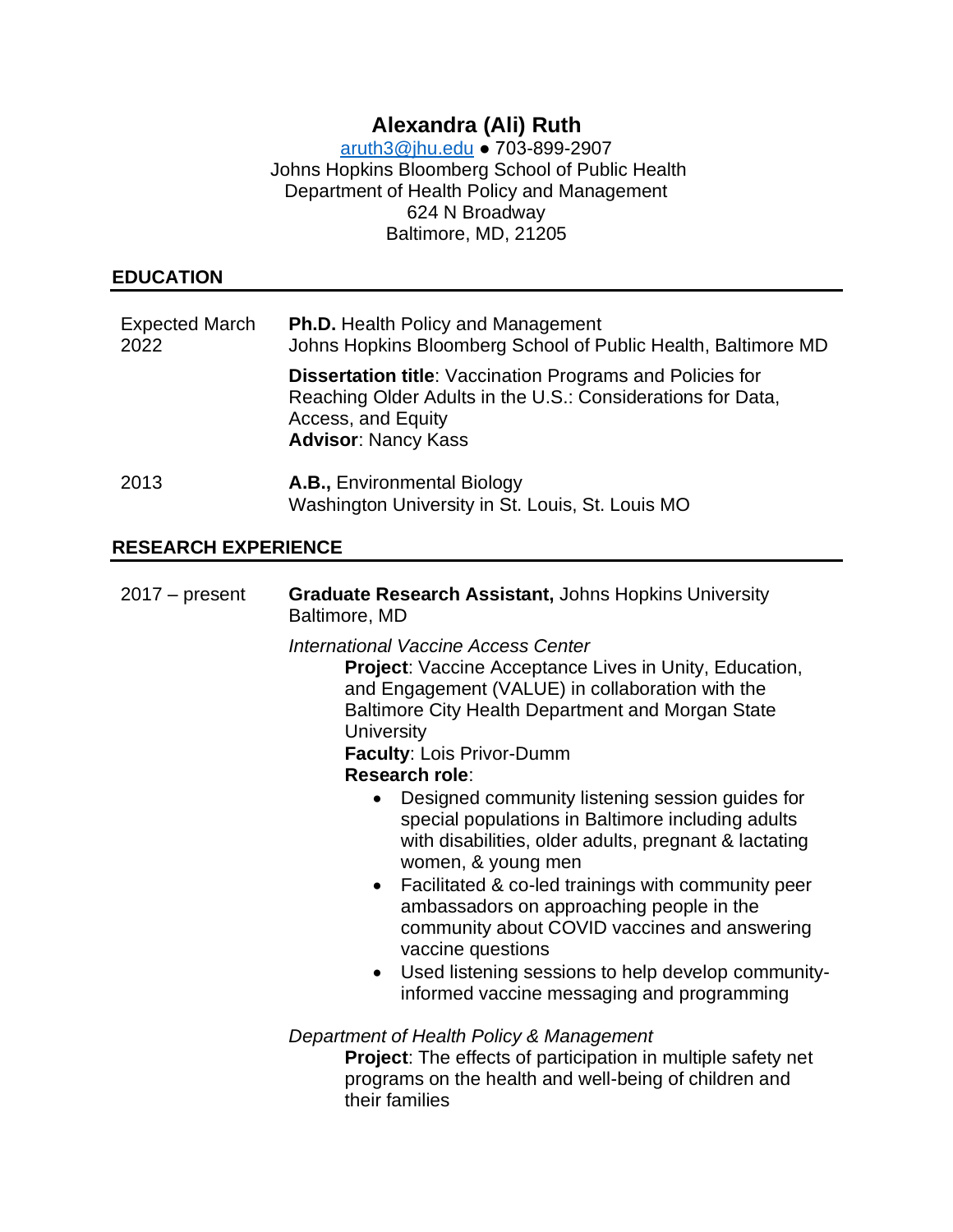# **Alexandra (Ali) Ruth**

[aruth3@jhu.edu](mailto:aruth3@jhu.edu) ● 703-899-2907 Johns Hopkins Bloomberg School of Public Health Department of Health Policy and Management 624 N Broadway Baltimore, MD, 21205

## **EDUCATION**

| <b>Expected March</b><br>2022 | <b>Ph.D.</b> Health Policy and Management<br>Johns Hopkins Bloomberg School of Public Health, Baltimore MD                                                                          |
|-------------------------------|-------------------------------------------------------------------------------------------------------------------------------------------------------------------------------------|
|                               | <b>Dissertation title:</b> Vaccination Programs and Policies for<br>Reaching Older Adults in the U.S.: Considerations for Data,<br>Access, and Equity<br><b>Advisor: Nancy Kass</b> |
| 2013                          | A.B., Environmental Biology<br>Washington University in St. Louis, St. Louis MO                                                                                                     |

## **RESEARCH EXPERIENCE**

| $2017 - present$ | <b>Graduate Research Assistant, Johns Hopkins University</b><br>Baltimore, MD                                                                                                                                                                                                                                                                                                                                                                                                                                                                                                                                                                                                                                                                                                 |
|------------------|-------------------------------------------------------------------------------------------------------------------------------------------------------------------------------------------------------------------------------------------------------------------------------------------------------------------------------------------------------------------------------------------------------------------------------------------------------------------------------------------------------------------------------------------------------------------------------------------------------------------------------------------------------------------------------------------------------------------------------------------------------------------------------|
|                  | International Vaccine Access Center<br><b>Project:</b> Vaccine Acceptance Lives in Unity, Education,<br>and Engagement (VALUE) in collaboration with the<br>Baltimore City Health Department and Morgan State<br><b>University</b><br>Faculty: Lois Privor-Dumm<br>Research role:<br>Designed community listening session guides for<br>special populations in Baltimore including adults<br>with disabilities, older adults, pregnant & lactating<br>women, & young men<br>Facilitated & co-led trainings with community peer<br>$\bullet$<br>ambassadors on approaching people in the<br>community about COVID vaccines and answering<br>vaccine questions<br>Used listening sessions to help develop community-<br>$\bullet$<br>informed vaccine messaging and programming |
|                  | Department of Health Policy & Management<br><b>Project:</b> The effects of participation in multiple safety net<br>programs on the health and well-being of children and<br>their families                                                                                                                                                                                                                                                                                                                                                                                                                                                                                                                                                                                    |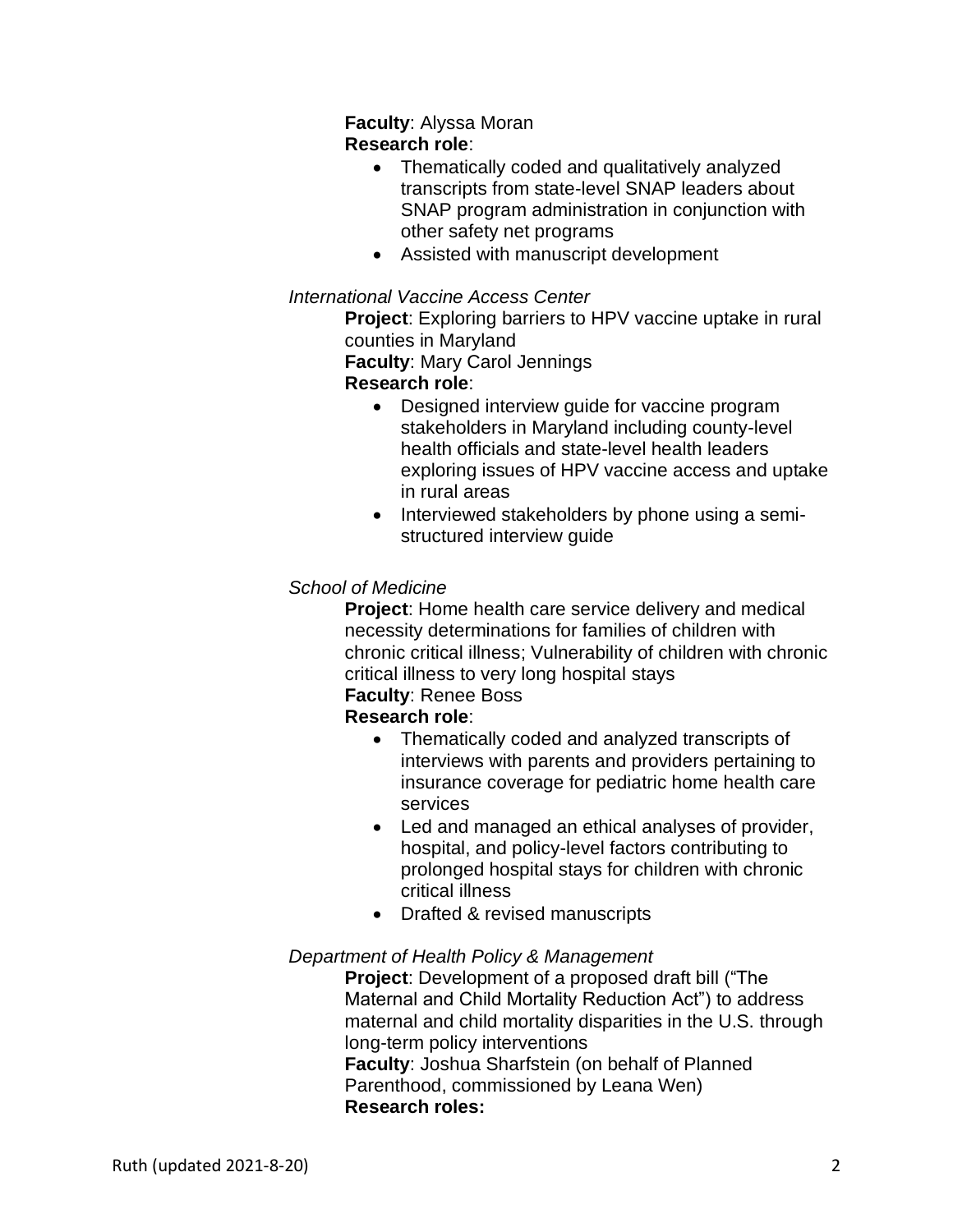#### **Faculty**: Alyssa Moran **Research role**:

- Thematically coded and qualitatively analyzed transcripts from state-level SNAP leaders about SNAP program administration in conjunction with other safety net programs
- Assisted with manuscript development

#### *International Vaccine Access Center*

**Project**: Exploring barriers to HPV vaccine uptake in rural counties in Maryland **Faculty**: Mary Carol Jennings

#### **Research role**:

- Designed interview guide for vaccine program stakeholders in Maryland including county-level health officials and state-level health leaders exploring issues of HPV vaccine access and uptake in rural areas
- Interviewed stakeholders by phone using a semistructured interview guide

## *School of Medicine*

**Project**: Home health care service delivery and medical necessity determinations for families of children with chronic critical illness; Vulnerability of children with chronic critical illness to very long hospital stays

# **Faculty**: Renee Boss

#### **Research role**:

- Thematically coded and analyzed transcripts of interviews with parents and providers pertaining to insurance coverage for pediatric home health care services
- Led and managed an ethical analyses of provider, hospital, and policy-level factors contributing to prolonged hospital stays for children with chronic critical illness
- Drafted & revised manuscripts

#### *Department of Health Policy & Management*

**Project**: Development of a proposed draft bill ("The Maternal and Child Mortality Reduction Act") to address maternal and child mortality disparities in the U.S. through long-term policy interventions **Faculty**: Joshua Sharfstein (on behalf of Planned Parenthood, commissioned by Leana Wen) **Research roles:**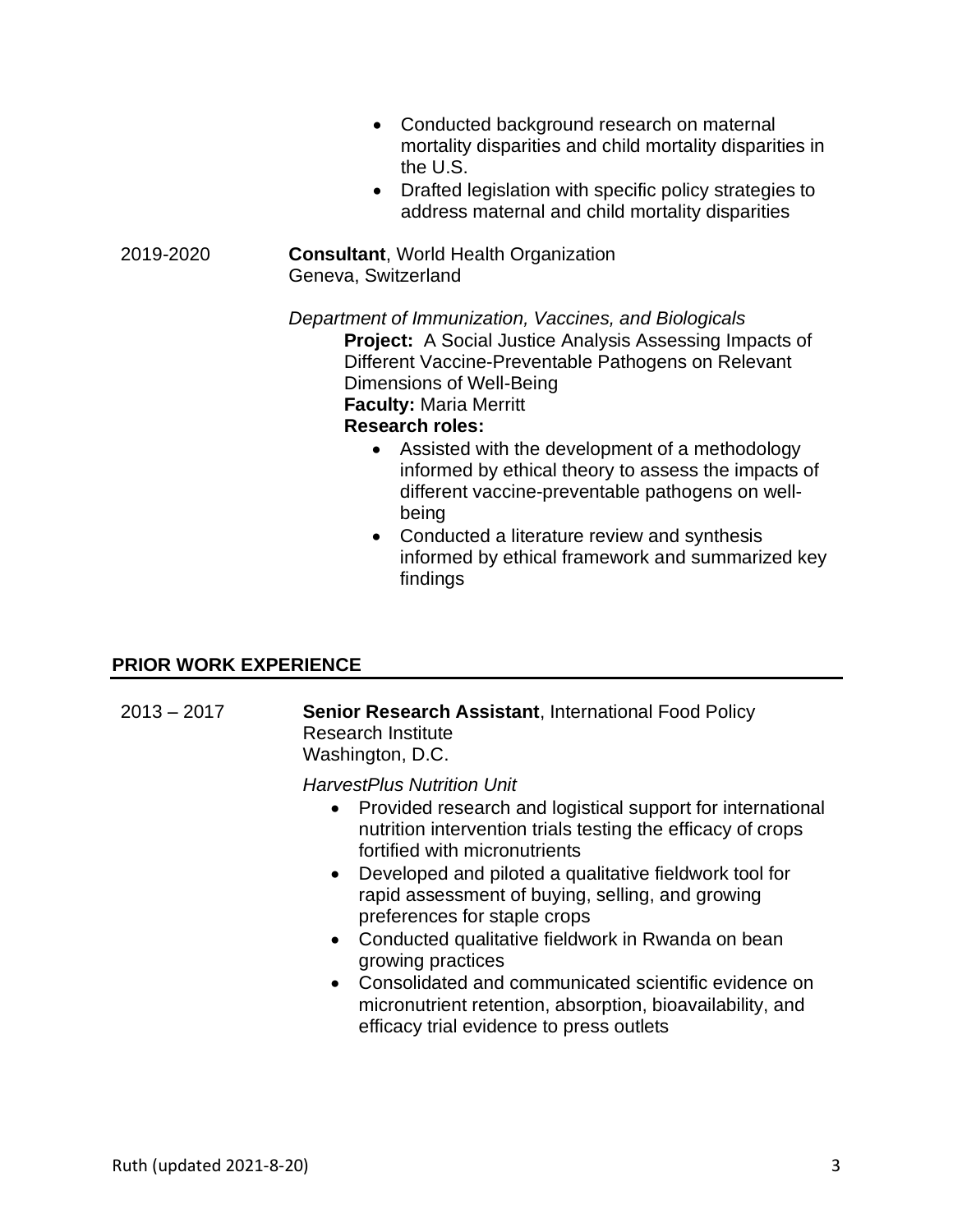- Conducted background research on maternal mortality disparities and child mortality disparities in the U.S.
- Drafted legislation with specific policy strategies to address maternal and child mortality disparities

#### 2019-2020 **Consultant**, World Health Organization Geneva, Switzerland

*Department of Immunization, Vaccines, and Biologicals* **Project:** A Social Justice Analysis Assessing Impacts of Different Vaccine-Preventable Pathogens on Relevant Dimensions of Well-Being **Faculty:** Maria Merritt

#### **Research roles:**

- Assisted with the development of a methodology informed by ethical theory to assess the impacts of different vaccine-preventable pathogens on wellbeing
- Conducted a literature review and synthesis informed by ethical framework and summarized key findings

#### **PRIOR WORK EXPERIENCE**

2013 – 2017 **Senior Research Assistant**, International Food Policy Research Institute Washington, D.C.

*HarvestPlus Nutrition Unit*

- Provided research and logistical support for international nutrition intervention trials testing the efficacy of crops fortified with micronutrients
- Developed and piloted a qualitative fieldwork tool for rapid assessment of buying, selling, and growing preferences for staple crops
- Conducted qualitative fieldwork in Rwanda on bean growing practices
- Consolidated and communicated scientific evidence on micronutrient retention, absorption, bioavailability, and efficacy trial evidence to press outlets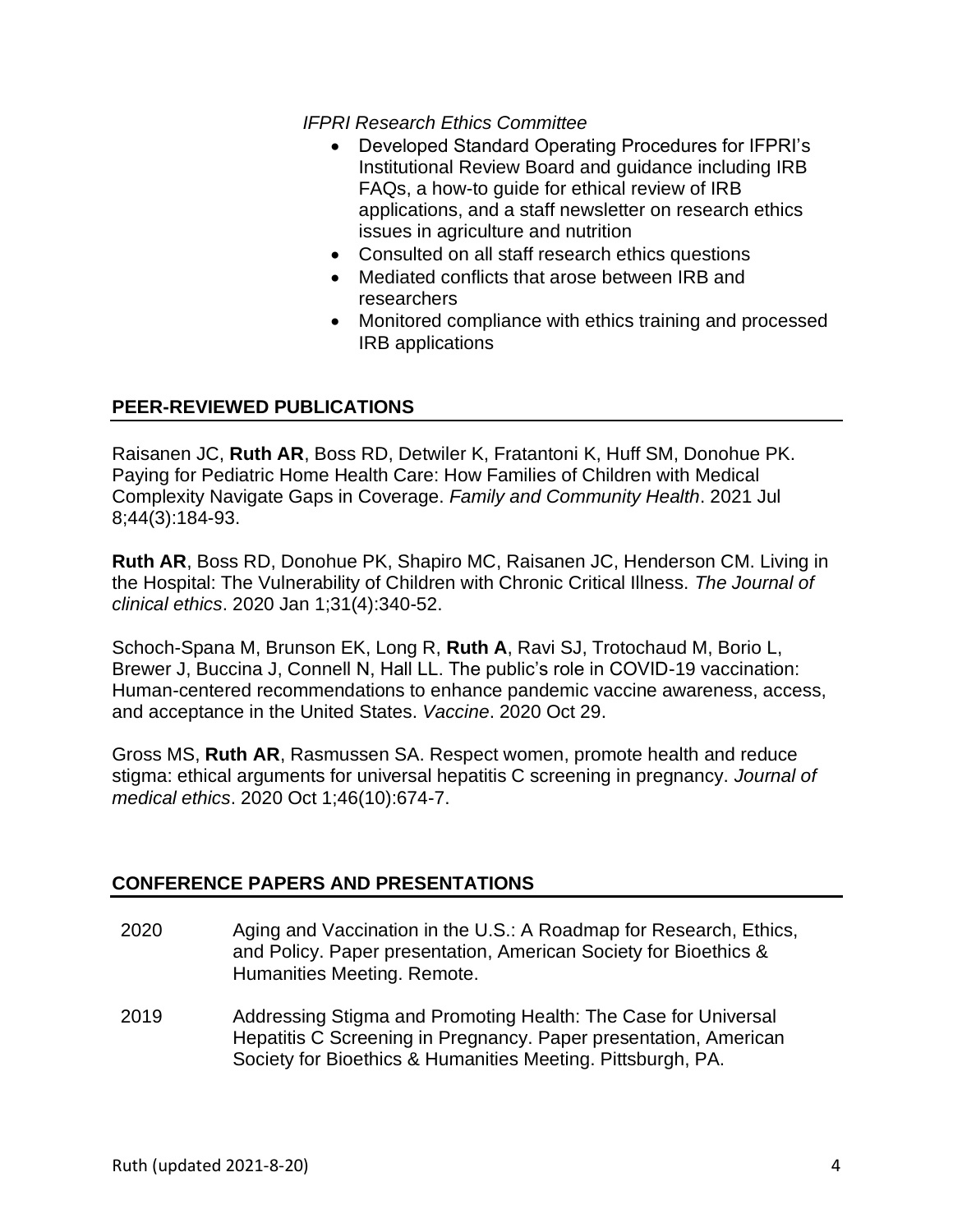*IFPRI Research Ethics Committee* 

- Developed Standard Operating Procedures for IFPRI's Institutional Review Board and guidance including IRB FAQs, a how-to guide for ethical review of IRB applications, and a staff newsletter on research ethics issues in agriculture and nutrition
- Consulted on all staff research ethics questions
- Mediated conflicts that arose between IRB and researchers
- Monitored compliance with ethics training and processed IRB applications

#### **PEER-REVIEWED PUBLICATIONS**

Raisanen JC, **Ruth AR**, Boss RD, Detwiler K, Fratantoni K, Huff SM, Donohue PK. Paying for Pediatric Home Health Care: How Families of Children with Medical Complexity Navigate Gaps in Coverage. *Family and Community Health*. 2021 Jul 8;44(3):184-93.

**Ruth AR**, Boss RD, Donohue PK, Shapiro MC, Raisanen JC, Henderson CM. Living in the Hospital: The Vulnerability of Children with Chronic Critical Illness. *The Journal of clinical ethics*. 2020 Jan 1;31(4):340-52.

Schoch-Spana M, Brunson EK, Long R, **Ruth A**, Ravi SJ, Trotochaud M, Borio L, Brewer J, Buccina J, Connell N, Hall LL. The public's role in COVID-19 vaccination: Human-centered recommendations to enhance pandemic vaccine awareness, access, and acceptance in the United States. *Vaccine*. 2020 Oct 29.

Gross MS, **Ruth AR**, Rasmussen SA. Respect women, promote health and reduce stigma: ethical arguments for universal hepatitis C screening in pregnancy. *Journal of medical ethics*. 2020 Oct 1;46(10):674-7.

#### **CONFERENCE PAPERS AND PRESENTATIONS**

- 2020 Aging and Vaccination in the U.S.: A Roadmap for Research, Ethics, and Policy. Paper presentation, American Society for Bioethics & Humanities Meeting. Remote.
- 2019 Addressing Stigma and Promoting Health: The Case for Universal Hepatitis C Screening in Pregnancy. Paper presentation, American Society for Bioethics & Humanities Meeting. Pittsburgh, PA.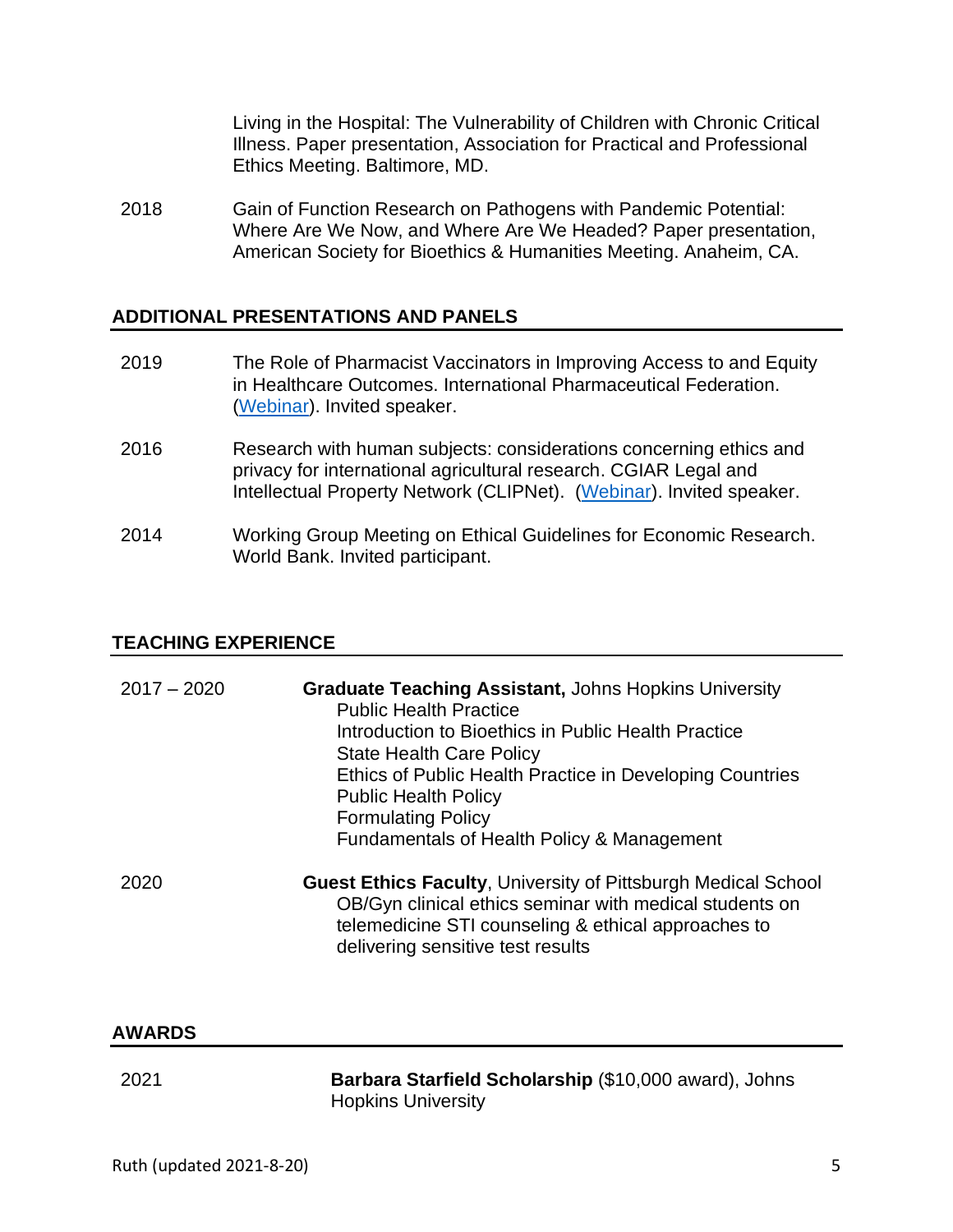Living in the Hospital: The Vulnerability of Children with Chronic Critical Illness. Paper presentation, Association for Practical and Professional Ethics Meeting. Baltimore, MD.

2018 Gain of Function Research on Pathogens with Pandemic Potential: Where Are We Now, and Where Are We Headed? Paper presentation, American Society for Bioethics & Humanities Meeting. Anaheim, CA.

#### **ADDITIONAL PRESENTATIONS AND PANELS**

- 2019 The Role of Pharmacist Vaccinators in Improving Access to and Equity in Healthcare Outcomes. International Pharmaceutical Federation. [\(Webinar\)](https://transformingvaccination.fip.org/wp-content/uploads/2020/11/2.6-Master-Slideset.pdf). Invited speaker.
- 2016 Research with human subjects: considerations concerning ethics and privacy for international agricultural research. CGIAR Legal and Intellectual Property Network (CLIPNet). [\(Webinar\)](https://sites.google.com/a/cgxchange.org/clip-net/webinars-archive/2016). Invited speaker.
- 2014 Working Group Meeting on Ethical Guidelines for Economic Research. World Bank. Invited participant.

#### **TEACHING EXPERIENCE**

| $2017 - 2020$ | <b>Graduate Teaching Assistant, Johns Hopkins University</b><br><b>Public Health Practice</b><br>Introduction to Bioethics in Public Health Practice<br><b>State Health Care Policy</b><br>Ethics of Public Health Practice in Developing Countries<br><b>Public Health Policy</b><br><b>Formulating Policy</b><br>Fundamentals of Health Policy & Management |
|---------------|---------------------------------------------------------------------------------------------------------------------------------------------------------------------------------------------------------------------------------------------------------------------------------------------------------------------------------------------------------------|
| 2020          | <b>Guest Ethics Faculty, University of Pittsburgh Medical School</b><br>OB/Gyn clinical ethics seminar with medical students on<br>telemedicine STI counseling & ethical approaches to<br>delivering sensitive test results                                                                                                                                   |

#### **AWARDS**

2021 **Barbara Starfield Scholarship** (\$10,000 award), Johns Hopkins University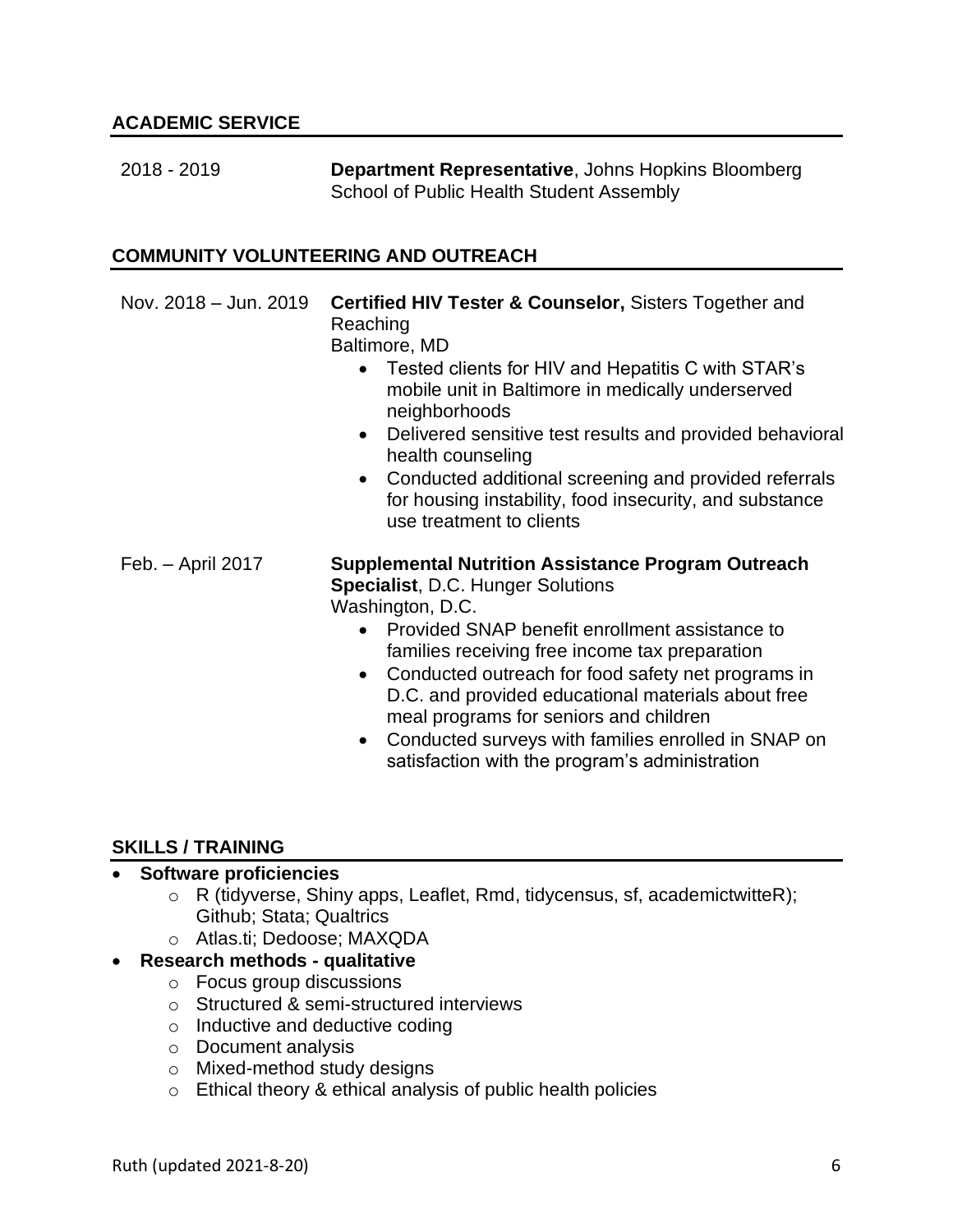| 2018 - 2019 | <b>Department Representative, Johns Hopkins Bloomberg</b> |
|-------------|-----------------------------------------------------------|
|             | School of Public Health Student Assembly                  |

#### **COMMUNITY VOLUNTEERING AND OUTREACH**

| Nov. 2018 - Jun. 2019 | <b>Certified HIV Tester &amp; Counselor, Sisters Together and</b><br>Reaching<br>Baltimore, MD<br>Tested clients for HIV and Hepatitis C with STAR's<br>mobile unit in Baltimore in medically underserved<br>neighborhoods<br>Delivered sensitive test results and provided behavioral<br>$\bullet$<br>health counseling<br>• Conducted additional screening and provided referrals<br>for housing instability, food insecurity, and substance<br>use treatment to clients                                  |
|-----------------------|-------------------------------------------------------------------------------------------------------------------------------------------------------------------------------------------------------------------------------------------------------------------------------------------------------------------------------------------------------------------------------------------------------------------------------------------------------------------------------------------------------------|
| Feb. - April 2017     | <b>Supplemental Nutrition Assistance Program Outreach</b><br><b>Specialist, D.C. Hunger Solutions</b><br>Washington, D.C.<br>Provided SNAP benefit enrollment assistance to<br>families receiving free income tax preparation<br>• Conducted outreach for food safety net programs in<br>D.C. and provided educational materials about free<br>meal programs for seniors and children<br>Conducted surveys with families enrolled in SNAP on<br>$\bullet$<br>satisfaction with the program's administration |

#### **SKILLS / TRAINING**

### • **Software proficiencies**

- o R (tidyverse, Shiny apps, Leaflet, Rmd, tidycensus, sf, academictwitteR); Github; Stata; Qualtrics
- o Atlas.ti; Dedoose; MAXQDA

## • **Research methods - qualitative**

- o Focus group discussions
- o Structured & semi-structured interviews
- o Inductive and deductive coding
- o Document analysis
- o Mixed-method study designs
- o Ethical theory & ethical analysis of public health policies